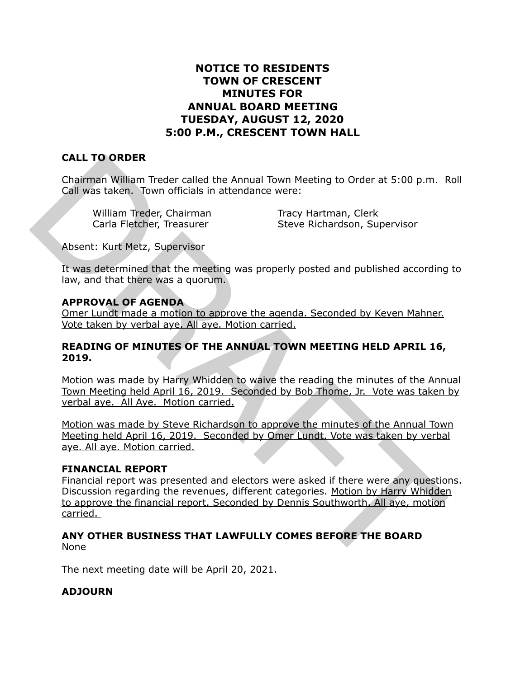## **NOTICE TO RESIDENTS TOWN OF CRESCENT MINUTES FOR ANNUAL BOARD MEETING TUESDAY, AUGUST 12, 2020 5:00 P.M., CRESCENT TOWN HALL**

# **CALL TO ORDER**

Chairman William Treder called the Annual Town Meeting to Order at 5:00 p.m. Roll Call was taken. Town officials in attendance were:

William Treder, Chairman Tracy Hartman, Clerk

Carla Fletcher, Treasurer Steve Richardson, Supervisor

Absent: Kurt Metz, Supervisor

It was determined that the meeting was properly posted and published according to law, and that there was a quorum.

## **APPROVAL OF AGENDA**

Omer Lundt made a motion to approve the agenda. Seconded by Keven Mahner. Vote taken by verbal aye. All aye. Motion carried.

### **READING OF MINUTES OF THE ANNUAL TOWN MEETING HELD APRIL 16, 2019.**

Motion was made by Harry Whidden to waive the reading the minutes of the Annual Town Meeting held April 16, 2019. Seconded by Bob Thome, Jr. Vote was taken by verbal aye. All Aye. Motion carried.

Motion was made by Steve Richardson to approve the minutes of the Annual Town Meeting held April 16, 2019. Seconded by Omer Lundt. Vote was taken by verbal aye. All aye. Motion carried.

## **FINANCIAL REPORT**

Financial report was presented and electors were asked if there were any questions. Discussion regarding the revenues, different categories. Motion by Harry Whidden to approve the financial report. Seconded by Dennis Southworth. All aye, motion carried. CALL TO ORDER<br>
Chairman William Treder called the Annual Town Meeting to Order at 5:00 p.m.<br>
Call Was taken. Town officials in attendance were:<br>
William Treder, Chairman Tracy Hartman, Clerk<br>
Carla Fletcher, Treasurer Stev

#### **ANY OTHER BUSINESS THAT LAWFULLY COMES BEFORE THE BOARD**  None

The next meeting date will be April 20, 2021.

## **ADJOURN**